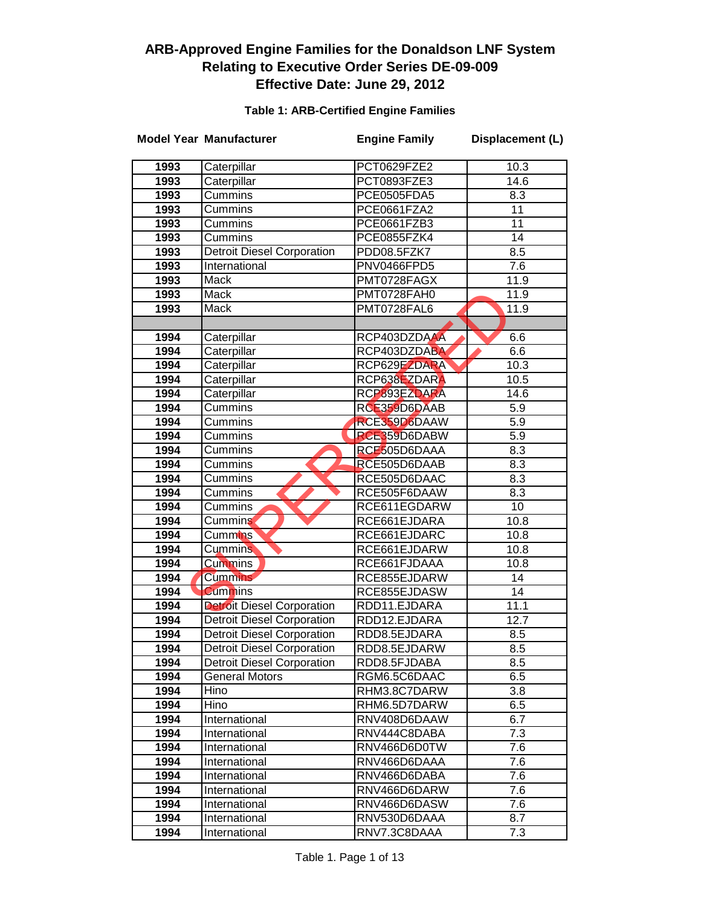#### **Table 1: ARB-Certified Engine Families**

|      | <b>Model Year Manufacturer</b>    | <b>Engine Family</b> | Displacement (L)  |
|------|-----------------------------------|----------------------|-------------------|
| 1993 | Caterpillar                       | PCT0629FZE2          | 10.3              |
| 1993 | Caterpillar                       | PCT0893FZE3          | 14.6              |
| 1993 | Cummins                           | PCE0505FDA5          | 8.3               |
| 1993 | Cummins                           | PCE0661FZA2          | 11                |
| 1993 | Cummins                           | PCE0661FZB3          | 11                |
| 1993 | Cummins                           | PCE0855FZK4          | 14                |
| 1993 | <b>Detroit Diesel Corporation</b> | PDD08.5FZK7          | 8.5               |
| 1993 | International                     | PNV0466FPD5          | 7.6               |
| 1993 | <b>Mack</b>                       | PMT0728FAGX          | 11.9              |
| 1993 | Mack                              | PMT0728FAH0          | $\overline{11.9}$ |
| 1993 | Mack                              | PMT0728FAL6          | 11.9              |
|      |                                   |                      |                   |
| 1994 | Caterpillar                       | RCP403DZDAAA         | 6.6               |
| 1994 | Caterpillar                       | RCP403DZDABA         | 6.6               |
| 1994 | Caterpillar                       | RCP629EZDARA         | 10.3              |
| 1994 | Caterpillar                       | RCP638EZDARA         | 10.5              |
| 1994 | Caterpillar                       | RCP893EZDARA         | 14.6              |
| 1994 | <b>Cummins</b>                    | RCE359D6DAAB         | 5.9               |
| 1994 | Cummins                           | RCE359D6DAAW         | 5.9               |
| 1994 | Cummins                           | RCE359D6DABW         | 5.9               |
| 1994 | Cummins                           | RCE505D6DAAA         | 8.3               |
| 1994 | Cummins                           | RCE505D6DAAB         | 8.3               |
| 1994 | Cummins                           | RCE505D6DAAC         | $\overline{8.3}$  |
| 1994 | Cummins                           | RCE505F6DAAW         | 8.3               |
| 1994 | Cummins                           | RCE611EGDARW         | $\overline{10}$   |
| 1994 | Cummins                           | RCE661EJDARA         | 10.8              |
| 1994 | <b>Cummins</b>                    | RCE661EJDARC         | 10.8              |
| 1994 | <b>Cummins</b>                    | RCE661EJDARW         | 10.8              |
| 1994 | <b>Cummins</b>                    | RCE661FJDAAA         | 10.8              |
| 1994 | <b>Cummins</b>                    | RCE855EJDARW         | 14                |
| 1994 | <b>Cummins</b>                    | RCE855EJDASW         | 14                |
| 1994 | <b>Detroit Diesel Corporation</b> | RDD11.EJDARA         | 11.1              |
| 1994 | <b>Detroit Diesel Corporation</b> | RDD12.EJDARA         | 12.7              |
| 1994 | <b>Detroit Diesel Corporation</b> | RDD8.5EJDARA         | 8.5               |
| 1994 | <b>Detroit Diesel Corporation</b> | RDD8.5EJDARW         | 8.5               |
| 1994 | <b>Detroit Diesel Corporation</b> | RDD8.5FJDABA         | 8.5               |
| 1994 | General Motors                    | RGM6.5C6DAAC         | 6.5               |
| 1994 | Hino                              | RHM3.8C7DARW         | 3.8               |
| 1994 | Hino                              | RHM6.5D7DARW         | 6.5               |
| 1994 | International                     | RNV408D6DAAW         | 6.7               |
| 1994 | International                     | RNV444C8DABA         | 7.3               |
| 1994 | International                     | RNV466D6D0TW         | 7.6               |
| 1994 | International                     | RNV466D6DAAA         | 7.6               |
| 1994 | International                     | RNV466D6DABA         | 7.6               |
| 1994 | International                     | RNV466D6DARW         | 7.6               |
| 1994 | International                     | RNV466D6DASW         | 7.6               |
| 1994 | International                     | RNV530D6DAAA         | 8.7               |
| 1994 | International                     | RNV7.3C8DAAA         | 7.3               |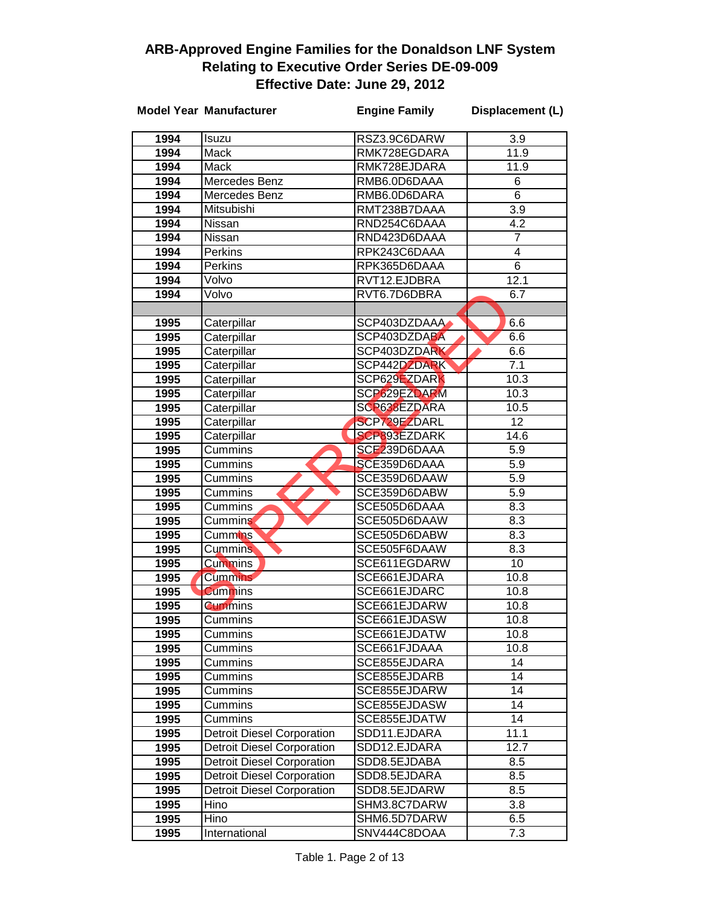|      | <b>Model Year Manufacturer</b>    | <b>Engine Family</b> | Displacement (L) |
|------|-----------------------------------|----------------------|------------------|
| 1994 | Isuzu                             | RSZ3.9C6DARW         | 3.9              |
| 1994 | Mack                              | RMK728EGDARA         | 11.9             |
| 1994 | Mack                              | RMK728EJDARA         | 11.9             |
| 1994 | Mercedes Benz                     | RMB6.0D6DAAA         | 6                |
| 1994 | Mercedes Benz                     | RMB6.0D6DARA         | 6                |
| 1994 | Mitsubishi                        | RMT238B7DAAA         | 3.9              |
| 1994 | Nissan                            | RND254C6DAAA         | 4.2              |
| 1994 | Nissan                            | RND423D6DAAA         | 7                |
| 1994 | Perkins                           | RPK243C6DAAA         | 4                |
| 1994 | Perkins                           | RPK365D6DAAA         | 6                |
| 1994 | Volvo                             | RVT12.EJDBRA         | 12.1             |
| 1994 | Volvo                             | RVT6.7D6DBRA         | 6.7              |
|      |                                   |                      |                  |
| 1995 | Caterpillar                       | SCP403DZDAAA         | 6.6              |
| 1995 | Caterpillar                       | SCP403DZDABA         | 6.6              |
| 1995 | Caterpillar                       | SCP403DZDARK         | 6.6              |
| 1995 | Caterpillar                       | SCP442DZDARK         | 7.1              |
| 1995 | Caterpillar                       | SCP629EZDARK         | 10.3             |
| 1995 | Caterpillar                       | SCP629EZDARM         | 10.3             |
| 1995 | Caterpillar                       | SCP638EZDARA         | 10.5             |
| 1995 | Caterpillar                       | SCP729EZDARL         | $\overline{12}$  |
| 1995 | Caterpillar                       | <b>SCP893EZDARK</b>  | 14.6             |
| 1995 | Cummins                           | SCE239D6DAAA         | 5.9              |
| 1995 | Cummins                           | SCE359D6DAAA         | 5.9              |
| 1995 | Cummins                           | SCE359D6DAAW         | 5.9              |
| 1995 | Cummins                           | SCE359D6DABW         | 5.9              |
| 1995 | Cummins                           | SCE505D6DAAA         | 8.3              |
| 1995 | <b>Cummins</b>                    | SCE505D6DAAW         | 8.3              |
| 1995 | Cummins                           | SCE505D6DABW         | 8.3              |
| 1995 | <b>Cummins</b>                    | SCE505F6DAAW         | 8.3              |
| 1995 | <b>Cummins</b>                    | SCE611EGDARW         | 10               |
| 1995 | <b>Cummins</b>                    | SCE661EJDARA         | 10.8             |
| 1995 | <b>Cummins</b>                    | SCE661EJDARC         | 10.8             |
| 1995 | <b>Cummins</b>                    | SCE661EJDARW         | 10.8             |
| 1995 | Cummins                           | SCE661EJDASW         | 10.8             |
| 1995 | Cummins                           | SCE661EJDATW         | 10.8             |
| 1995 | Cummins                           | SCE661FJDAAA         | 10.8             |
| 1995 | Cummins                           | SCE855EJDARA         | 14               |
| 1995 | Cummins                           | SCE855EJDARB         | 14               |
| 1995 | Cummins                           | SCE855EJDARW         | 14               |
| 1995 | Cummins                           | SCE855EJDASW         | 14               |
| 1995 | Cummins                           | SCE855EJDATW         | 14               |
| 1995 | <b>Detroit Diesel Corporation</b> | SDD11.EJDARA         | 11.1             |
| 1995 | <b>Detroit Diesel Corporation</b> | SDD12.EJDARA         | 12.7             |
| 1995 | <b>Detroit Diesel Corporation</b> | SDD8.5EJDABA         | 8.5              |
| 1995 | <b>Detroit Diesel Corporation</b> | SDD8.5EJDARA         | 8.5              |
| 1995 | <b>Detroit Diesel Corporation</b> | SDD8.5EJDARW         | 8.5              |
| 1995 | Hino                              | SHM3.8C7DARW         | 3.8              |
| 1995 | Hino                              | SHM6.5D7DARW         | 6.5              |
| 1995 | International                     | SNV444C8DOAA         | 7.3              |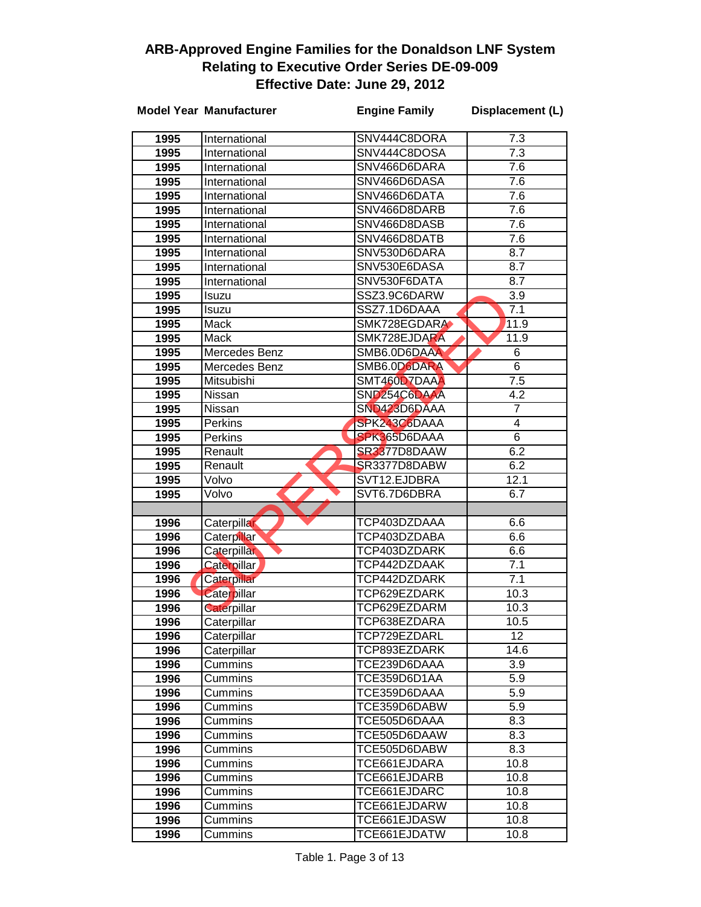|              | <b>Model Year Manufacturer</b> | <b>Engine Family</b>         | Displacement (L) |
|--------------|--------------------------------|------------------------------|------------------|
| 1995         | International                  | SNV444C8DORA                 | 7.3              |
| 1995         | International                  | SNV444C8DOSA                 | $\overline{7.3}$ |
| 1995         | International                  | SNV466D6DARA                 | 7.6              |
| 1995         | International                  | SNV466D6DASA                 | 7.6              |
| 1995         | International                  | SNV466D6DATA                 | 7.6              |
| 1995         | International                  | SNV466D8DARB                 | 7.6              |
| 1995         | International                  | SNV466D8DASB                 | 7.6              |
| 1995         | International                  | SNV466D8DATB                 | 7.6              |
| 1995         | International                  | SNV530D6DARA                 | 8.7              |
| 1995         | International                  | SNV530E6DASA                 | 8.7              |
| 1995         | International                  | SNV530F6DATA                 | 8.7              |
| 1995         | Isuzu                          | SSZ3.9C6DARW                 | 3.9              |
| 1995         | Isuzu                          | SSZ7.1D6DAAA                 | 7.1              |
| 1995         | Mack                           | SMK728EGDARA                 | 11.9             |
| 1995         | <b>Mack</b>                    | SMK728EJDARA                 | 11.9             |
| 1995         | Mercedes Benz                  | SMB6.0D6DAAA                 | 6                |
| 1995         | Mercedes Benz                  | SMB6.0D6DARA                 | 6                |
| 1995         | Mitsubishi                     | SMT460D7DAAA                 | 7.5              |
| 1995         | Nissan                         | SND <sub>254C6DAAA</sub>     | $4.\overline{2}$ |
| 1995         | Nissan                         | SND423D6DAAA                 | 7                |
| 1995         | Perkins                        | SPK243C6DAAA                 | 4                |
| 1995         | Perkins                        | SPK365D6DAAA                 | 6                |
| 1995         | Renault                        | SR3377D8DAAW                 | 6.2              |
| 1995         | Renault                        | SR3377D8DABW                 | 6.2              |
| 1995         | Volvo                          | SVT12.EJDBRA                 | 12.1             |
| 1995         | Volvo                          | SVT6.7D6DBRA                 | 6.7              |
|              |                                |                              |                  |
| 1996         | Caterpillar                    | TCP403DZDAAA                 | 6.6              |
| 1996         | Caterpillar                    | TCP403DZDABA                 | 6.6              |
| 1996         | Caterpillar                    | TCP403DZDARK                 | 6.6              |
| 1996         | <b>Caterpillar</b>             | TCP442DZDAAK                 | 7.1              |
| 1996         | Caterpillar                    | TCP442DZDARK                 | $\overline{7}.1$ |
| 1996         | Caterpillar                    | TCP629EZDARK                 | 10.3             |
| 1996         | Caterpillar                    | TCP629EZDARM                 | 10.3             |
| 1996         | Caterpillar                    | TCP638EZDARA                 | 10.5             |
| 1996         | Caterpillar                    | TCP729EZDARL                 | 12               |
| 1996         | Caterpillar                    | TCP893EZDARK<br>TCE239D6DAAA | 14.6             |
| 1996         | Cummins                        | TCE359D6D1AA                 | 3.9<br>5.9       |
| 1996         | Cummins<br>Cummins             | TCE359D6DAAA                 | 5.9              |
| 1996<br>1996 | Cummins                        | TCE359D6DABW                 | 5.9              |
| 1996         | Cummins                        | TCE505D6DAAA                 | 8.3              |
| 1996         | Cummins                        | TCE505D6DAAW                 | 8.3              |
| 1996         | Cummins                        | TCE505D6DABW                 | 8.3              |
| 1996         | Cummins                        | TCE661EJDARA                 | 10.8             |
| 1996         | Cummins                        | TCE661EJDARB                 | 10.8             |
| 1996         | Cummins                        | TCE661EJDARC                 | 10.8             |
| 1996         | Cummins                        | TCE661EJDARW                 | 10.8             |
| 1996         | Cummins                        | TCE661EJDASW                 | 10.8             |
| 1996         | Cummins                        | TCE661EJDATW                 | 10.8             |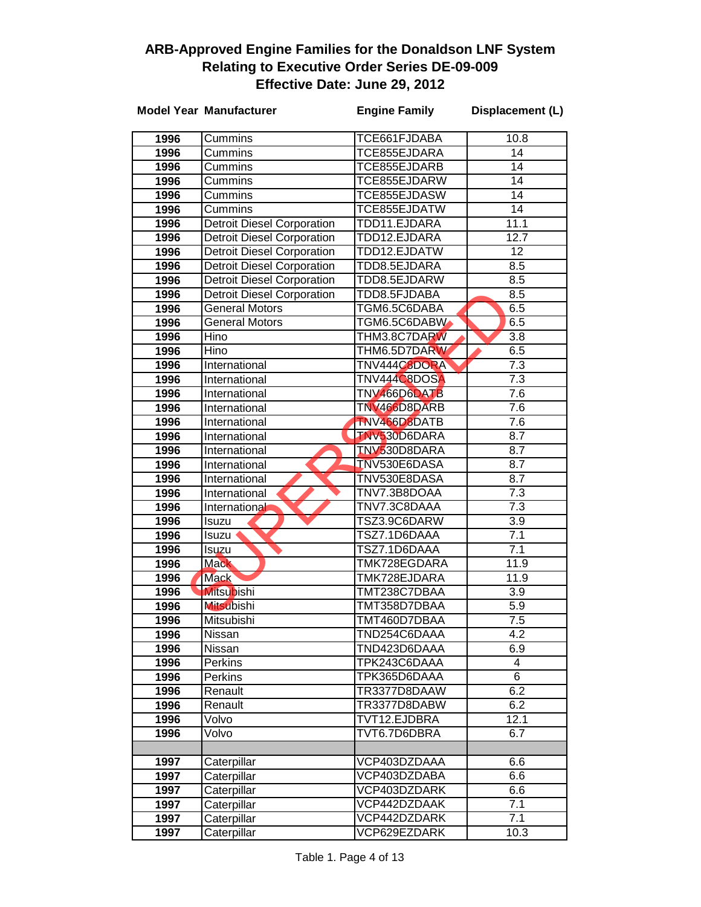|      | <b>Model Year Manufacturer</b>    | <b>Engine Family</b> | Displacement (L) |
|------|-----------------------------------|----------------------|------------------|
| 1996 | Cummins                           | TCE661FJDABA         | 10.8             |
| 1996 | Cummins                           | TCE855EJDARA         | $\overline{14}$  |
| 1996 | Cummins                           | TCE855EJDARB         | 14               |
| 1996 | Cummins                           | TCE855EJDARW         | $\overline{14}$  |
| 1996 | <b>Cummins</b>                    | TCE855EJDASW         | 14               |
| 1996 | Cummins                           | TCE855EJDATW         | 14               |
| 1996 | <b>Detroit Diesel Corporation</b> | TDD11.EJDARA         | 11.1             |
| 1996 | <b>Detroit Diesel Corporation</b> | TDD12.EJDARA         | 12.7             |
| 1996 | <b>Detroit Diesel Corporation</b> | TDD12.EJDATW         | 12               |
| 1996 | <b>Detroit Diesel Corporation</b> | TDD8.5EJDARA         | 8.5              |
| 1996 | <b>Detroit Diesel Corporation</b> | TDD8.5EJDARW         | 8.5              |
| 1996 | <b>Detroit Diesel Corporation</b> | TDD8.5FJDABA         | 8.5              |
| 1996 | <b>General Motors</b>             | TGM6.5C6DABA         | 6.5              |
| 1996 | General Motors                    | TGM6.5C6DABW         | 6.5              |
| 1996 | Hino                              | THM3.8C7DARW         | 3.8              |
| 1996 | Hino                              | THM6.5D7DARW         | 6.5              |
| 1996 | International                     | TNV444C8DORA         | 7.3              |
| 1996 | International                     | TNV444C8DOSA         | $\overline{7.3}$ |
| 1996 | International                     | TNV466D6DATB         | 7.6              |
| 1996 | International                     | TNV466D8DARB         | 7.6              |
| 1996 | International                     | TNV466D8DATB         | 7.6              |
| 1996 | International                     | <b>TNV530D6DARA</b>  | 8.7              |
| 1996 | International                     | TNV530D8DARA         | 8.7              |
| 1996 | International                     | <b>TNV530E6DASA</b>  | 8.7              |
| 1996 | International                     | TNV530E8DASA         | 8.7              |
| 1996 | International                     | TNV7.3B8DOAA         | 7.3              |
| 1996 | International                     | TNV7.3C8DAAA         | $\overline{7.3}$ |
| 1996 | Isuzu                             | TSZ3.9C6DARW         | $\overline{3.9}$ |
| 1996 | Isuzu                             | TSZ7.1D6DAAA         | 7.1              |
| 1996 | Isuzu                             | TSZ7.1D6DAAA         | 7.1              |
| 1996 | <b>Mack</b>                       | TMK728EGDARA         | 11.9             |
| 1996 | <b>Mack</b>                       | TMK728EJDARA         | 11.9             |
| 1996 | <b>Mitsubishi</b>                 | TMT238C7DBAA         | $\overline{3.9}$ |
| 1996 | <b>Mitsubishi</b>                 | TMT358D7DBAA         | 5.9              |
| 1996 | Mitsubishi                        | TMT460D7DBAA         | $\overline{7.5}$ |
| 1996 | Nissan                            | TND254C6DAAA         | 4.2              |
| 1996 | Nissan                            | TND423D6DAAA         | 6.9              |
| 1996 | <b>Perkins</b>                    | TPK243C6DAAA         | 4                |
| 1996 | Perkins                           | TPK365D6DAAA         | 6                |
| 1996 | Renault                           | TR3377D8DAAW         | 6.2              |
| 1996 | Renault                           | TR3377D8DABW         | 6.2              |
| 1996 | Volvo                             | TVT12.EJDBRA         | 12.1             |
| 1996 | Volvo                             | TVT6.7D6DBRA         | 6.7              |
| 1997 | Caterpillar                       | VCP403DZDAAA         | 6.6              |
| 1997 | Caterpillar                       | VCP403DZDABA         | 6.6              |
| 1997 | Caterpillar                       | VCP403DZDARK         | 6.6              |
| 1997 | Caterpillar                       | VCP442DZDAAK         | 7.1              |
| 1997 | Caterpillar                       | VCP442DZDARK         | 7.1              |
| 1997 | Caterpillar                       | VCP629EZDARK         | 10.3             |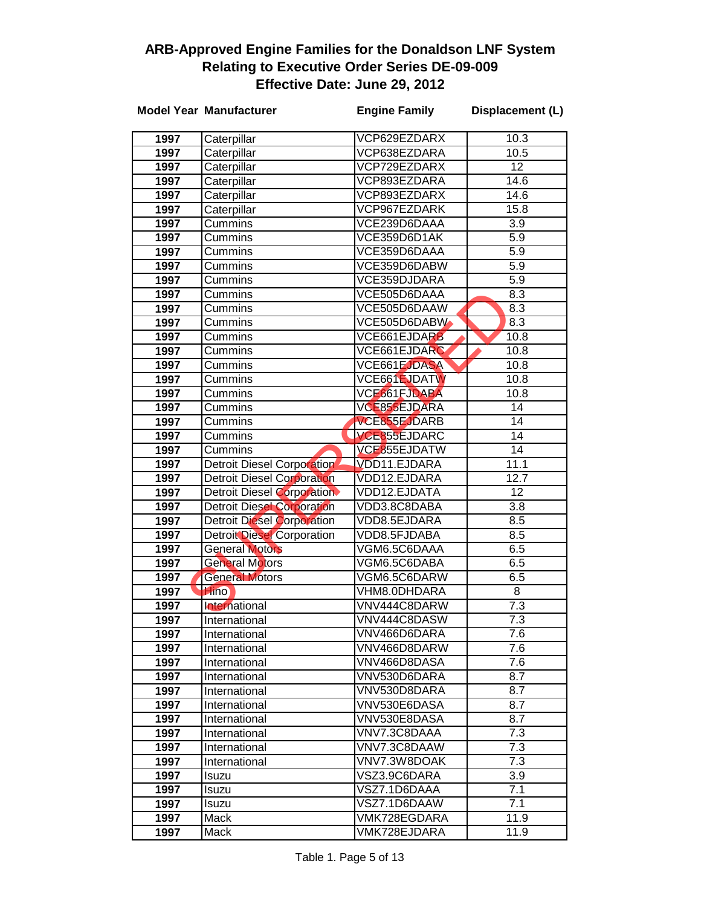|              | <b>Model Year Manufacturer</b>    | <b>Engine Family</b>         | Displacement (L) |
|--------------|-----------------------------------|------------------------------|------------------|
| 1997         | Caterpillar                       | VCP629EZDARX                 | 10.3             |
| 1997         | Caterpillar                       | VCP638EZDARA                 | 10.5             |
| 1997         | Caterpillar                       | VCP729EZDARX                 | 12               |
| 1997         | Caterpillar                       | VCP893EZDARA                 | 14.6             |
| 1997         | Caterpillar                       | VCP893EZDARX                 | 14.6             |
| 1997         | Caterpillar                       | VCP967EZDARK                 | 15.8             |
| 1997         | Cummins                           | VCE239D6DAAA                 | 3.9              |
| 1997         | Cummins                           | VCE359D6D1AK                 | $\overline{5.9}$ |
| 1997         | Cummins                           | VCE359D6DAAA                 | 5.9              |
| 1997         | Cummins                           | VCE359D6DABW                 | 5.9              |
| 1997         | Cummins                           | VCE359DJDARA                 | 5.9              |
| 1997         | Cummins                           | VCE505D6DAAA                 | 8.3              |
| 1997         | Cummins                           | VCE505D6DAAW                 | 8.3              |
| 1997         | Cummins                           | VCE505D6DABW                 | 8.3              |
| 1997         | Cummins                           | VCE661EJDARB                 | 10.8             |
| 1997         | Cummins                           | VCE661EJDARC                 | 10.8             |
| 1997         | Cummins                           | VCE661EJDASA                 | 10.8             |
| 1997         | Cummins                           | VCE661EJDATW                 | 10.8             |
| 1997         | Cummins                           | VCE661FJDABA                 | 10.8             |
| 1997         | Cummins                           | VCE855EJDARA                 | 14               |
| 1997         | Cummins                           | VCE855EJDARB                 | 14               |
| 1997         | Cummins                           | VCE855EJDARC                 | 14               |
| 1997         | Cummins                           | VCE855EJDATW                 | 14               |
| 1997         | <b>Detroit Diesel Corporation</b> | VDD11.EJDARA                 | 11.1             |
| 1997         | <b>Detroit Diesel Corporation</b> | VDD12.EJDARA                 | 12.7             |
| 1997         | Detroit Diesel Corporation        | VDD12.EJDATA                 | 12               |
| 1997         | <b>Detroit Diesel Corporation</b> | VDD3.8C8DABA                 | 3.8              |
| 1997         | <b>Detroit Diesel Corporation</b> | VDD8.5EJDARA                 | 8.5              |
| 1997         | <b>Detroit Diesel Corporation</b> | VDD8.5FJDABA                 | 8.5              |
| 1997         | <b>General Motors</b>             | VGM6.5C6DAAA                 | 6.5              |
| 1997         | <b>General Motors</b>             | VGM6.5C6DABA                 | 6.5              |
| 1997         | <b>General Motors</b>             | VGM6.5C6DARW                 | 6.5              |
| 1997         | <b>Hino</b>                       | VHM8.0DHDARA                 | 8                |
| 1997         | International                     | VNV444C8DARW                 | $\overline{7.3}$ |
| 1997         | International                     | VNV444C8DASW                 | 7.3              |
| 1997         | International                     | VNV466D6DARA                 | 7.6              |
| 1997         | International                     | VNV466D8DARW                 | 7.6              |
| 1997         | International                     | VNV466D8DASA<br>VNV530D6DARA | 7.6<br>8.7       |
| 1997         | International                     | VNV530D8DARA                 | 8.7              |
| 1997         | International                     | VNV530E6DASA                 | 8.7              |
| 1997         | International                     | VNV530E8DASA                 | 8.7              |
| 1997<br>1997 | International                     | VNV7.3C8DAAA                 | 7.3              |
| 1997         | International<br>International    | VNV7.3C8DAAW                 | 7.3              |
| 1997         | International                     | VNV7.3W8DOAK                 | 7.3              |
| 1997         | Isuzu                             | VSZ3.9C6DARA                 | $\overline{3.9}$ |
| 1997         | Isuzu                             | VSZ7.1D6DAAA                 | 7.1              |
| 1997         | Isuzu                             | VSZ7.1D6DAAW                 | 7.1              |
| 1997         | Mack                              | VMK728EGDARA                 | 11.9             |
| 1997         | Mack                              | VMK728EJDARA                 | 11.9             |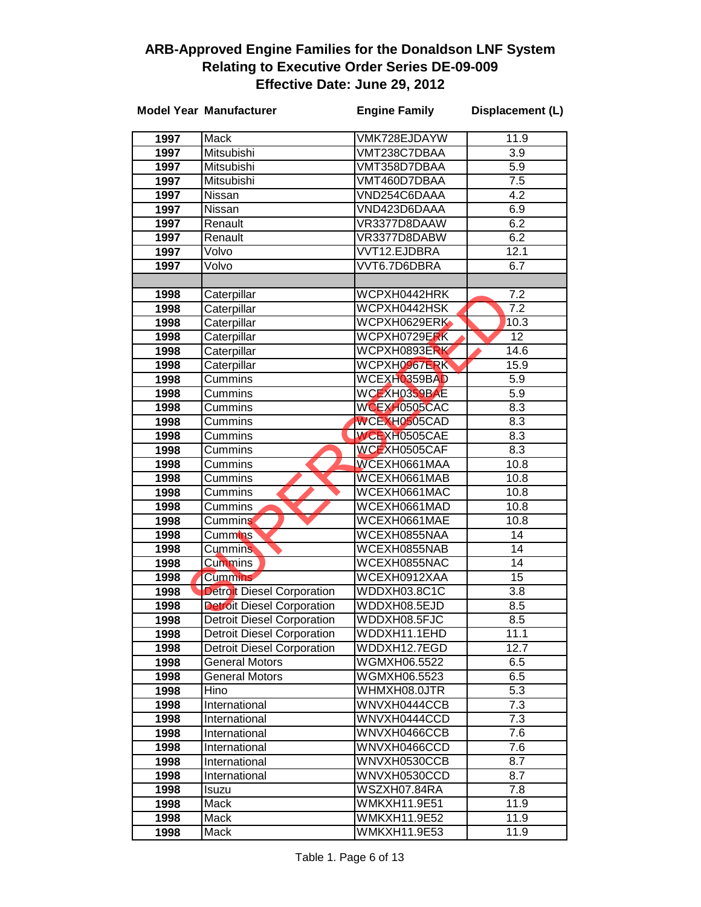|              | <b>Model Year Manufacturer</b>    | <b>Engine Family</b>         | Displacement (L)        |
|--------------|-----------------------------------|------------------------------|-------------------------|
| 1997         | Mack                              | VMK728EJDAYW                 | 11.9                    |
| 1997         | <b>Mitsubishi</b>                 | VMT238C7DBAA                 | 3.9                     |
| 1997         | Mitsubishi                        | VMT358D7DBAA                 | 5.9                     |
| 1997         | Mitsubishi                        | VMT460D7DBAA                 | $\overline{7.5}$        |
| 1997         | Nissan                            | VND254C6DAAA                 | 4.2                     |
| 1997         | Nissan                            | VND423D6DAAA                 | 6.9                     |
| 1997         | Renault                           | VR3377D8DAAW                 | 6.2                     |
| 1997         | Renault                           | VR3377D8DABW                 | 6.2                     |
| 1997         | Volvo                             | <b>VVT12.EJDBRA</b>          | 12.1                    |
| 1997         | Volvo                             | VVT6.7D6DBRA                 | 6.7                     |
|              |                                   |                              |                         |
| 1998         | Caterpillar                       | WCPXH0442HRK                 | $\overline{7.2}$        |
| 1998         | Caterpillar                       | WCPXH0442HSK                 | 7.2                     |
| 1998         | Caterpillar                       | WCPXH0629ERK                 | 10.3                    |
| 1998         | Caterpillar                       | WCPXH0729ERK                 | 12                      |
| 1998         | Caterpillar                       | WCPXH0893ERK                 | 14.6                    |
| 1998         | Caterpillar                       | WCPXH0967ERK                 | 15.9                    |
| 1998         | Cummins                           | WCEXH0359BAD                 | 5.9                     |
| 1998         | Cummins                           | WCEXH0359BAE                 | 5.9                     |
| 1998         | Cummins                           | WCEXH0505CAC                 | 8.3                     |
| 1998         | Cummins                           | WCEXH0505CAD                 | 8.3                     |
| 1998         | Cummins                           | WCEXH0505CAE                 | 8.3                     |
| 1998         | Cummins                           | WCEXH0505CAF                 | 8.3                     |
| 1998         | Cummins                           | WCEXH0661MAA                 | 10.8                    |
| 1998         | Cummins                           | WCEXH0661MAB                 | 10.8                    |
| 1998         | Cummins                           | WCEXH0661MAC                 | 10.8                    |
| 1998         | Cummins                           | WCEXH0661MAD                 | 10.8                    |
| 1998         | Cummins                           | WCEXH0661MAE                 | 10.8                    |
| 1998         | Cummins <sup>®</sup>              | WCEXH0855NAA                 | $\overline{14}$         |
| 1998         | <b>Cummins</b>                    | WCEXH0855NAB                 | $\overline{14}$         |
| 1998         | <b>Cummins</b>                    | WCEXH0855NAC                 | 14                      |
| 1998         | <b>Cummins</b>                    | WCEXH0912XAA                 | 15                      |
| 1998         | <b>Detroit Diesel Corporation</b> | WDDXH03.8C1C                 | 3.8                     |
| 1998         | <b>Detroit Diesel Corporation</b> | WDDXH08.5EJD                 | 8.5                     |
| 1998         | <b>Detroit Diesel Corporation</b> | WDDXH08.5FJC                 | 8.5                     |
| 1998         | <b>Detroit Diesel Corporation</b> | WDDXH11.1EHD                 | 11.1                    |
| 1998         | <b>Detroit Diesel Corporation</b> | WDDXH12.7EGD                 | 12.7                    |
| 1998         | <b>General Motors</b>             | WGMXH06.5522                 | 6.5                     |
| 1998         | <b>General Motors</b>             | WGMXH06.5523                 | 6.5                     |
| 1998         | Hino                              | WHMXH08.0JTR<br>WNVXH0444CCB | 5.3                     |
| 1998         | International                     |                              | 7.3<br>7.3              |
| 1998         | International                     | WNVXH0444CCD                 | 7.6                     |
| 1998         | International<br>International    | WNVXH0466CCB<br>WNVXH0466CCD | 7.6                     |
| 1998         |                                   | WNVXH0530CCB                 | 8.7                     |
| 1998         | International                     | WNVXH0530CCD                 |                         |
| 1998<br>1998 | International                     | WSZXH07.84RA                 | 8.7<br>$\overline{7.8}$ |
| 1998         | Isuzu<br>Mack                     | WMKXH11.9E51                 | 11.9                    |
| 1998         | Mack                              | WMKXH11.9E52                 | 11.9                    |
| 1998         | Mack                              | WMKXH11.9E53                 | 11.9                    |
|              |                                   |                              |                         |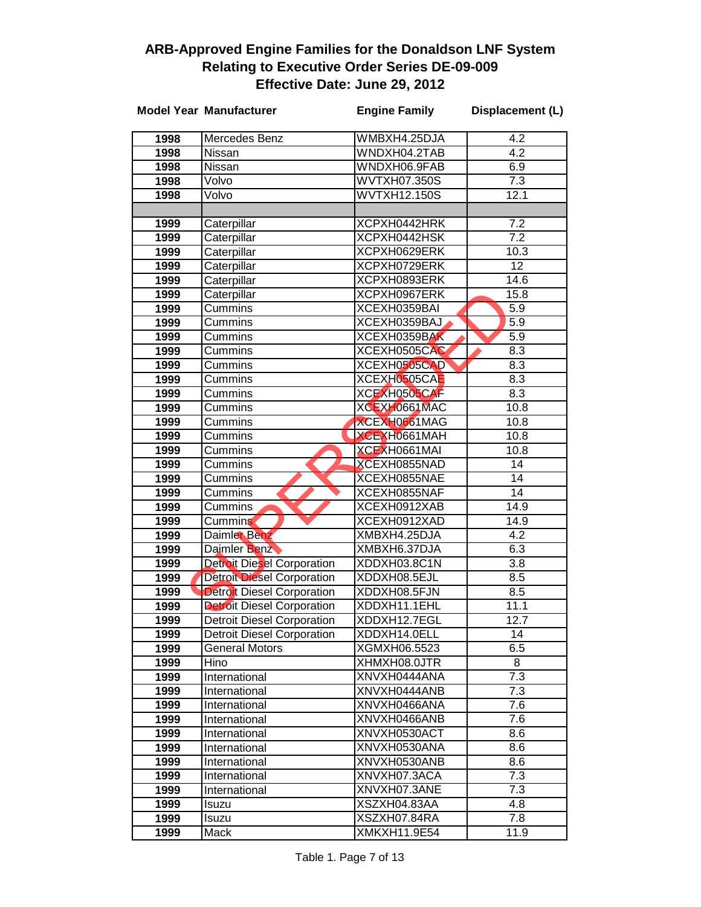|              | <b>Model Year Manufacturer</b>                                         | <b>Engine Family</b>         | Displacement (L)        |
|--------------|------------------------------------------------------------------------|------------------------------|-------------------------|
| 1998         | Mercedes Benz                                                          | WMBXH4.25DJA                 | 4.2                     |
| 1998         | Nissan                                                                 | WNDXH04.2TAB                 | 4.2                     |
| 1998         | Nissan                                                                 | WNDXH06.9FAB                 | 6.9                     |
| 1998         | Volvo                                                                  | WVTXH07.350S                 | $\overline{7.3}$        |
| 1998         | Volvo                                                                  | <b>WVTXH12.150S</b>          | 12.1                    |
|              |                                                                        |                              |                         |
| 1999         | Caterpillar                                                            | XCPXH0442HRK                 | $\overline{7.2}$        |
| 1999         | Caterpillar                                                            | XCPXH0442HSK                 | $\overline{7.2}$        |
| 1999         | Caterpillar                                                            | XCPXH0629ERK                 | 10.3                    |
| 1999         | Caterpillar                                                            | XCPXH0729ERK                 | $\overline{12}$         |
| 1999         | Caterpillar                                                            | XCPXH0893ERK                 | 14.6                    |
| 1999         | Caterpillar                                                            | XCPXH0967ERK                 | 15.8                    |
| 1999         | Cummins                                                                | XCEXH0359BAI                 | 5.9                     |
| 1999         | Cummins                                                                | XCEXH0359BAJ                 | 5.9                     |
| 1999         | Cummins                                                                | XCEXH0359BAK                 | 5.9                     |
| 1999         | Cummins                                                                | XCEXH0505CAC                 | 8.3                     |
| 1999         | Cummins                                                                | XCEXH0505CAD                 | 8.3                     |
| 1999         | Cummins                                                                | XCEXH0505CAE                 | 8.3                     |
| 1999         | Cummins                                                                | XCEXH0505CAF                 | 8.3                     |
| 1999         | Cummins                                                                | XCEXH0661MAC                 | 10.8                    |
| 1999         | Cummins                                                                | XCEXH0661MAG                 | 10.8                    |
| 1999         | Cummins                                                                | XCEXH0661MAH                 | 10.8                    |
| 1999         | Cummins                                                                | XCEXH0661MAI                 | 10.8                    |
| 1999         | Cummins                                                                | XCEXH0855NAD                 | $\overline{14}$         |
| 1999         | Cummins                                                                | XCEXH0855NAE                 | $\overline{14}$         |
| 1999         | Cummins                                                                | XCEXH0855NAF                 | $\overline{14}$         |
| 1999         | Cummins                                                                | XCEXH0912XAB                 | 14.9                    |
| 1999         | Cummins                                                                | XCEXH0912XAD                 | 14.9                    |
| 1999         | Daimler Benz                                                           | XMBXH4.25DJA                 | 4.2                     |
| 1999<br>1999 | Daimler Benz                                                           | XMBXH6.37DJA<br>XDDXH03.8C1N | 6.3<br>$\overline{3.8}$ |
| 1999         | <b>Detroit Diesel Corporation</b><br><b>Detroit Diesel Corporation</b> | XDDXH08.5EJL                 | 8.5                     |
| 1999         | <b>Detroit Diesel Corporation</b>                                      | XDDXH08.5FJN                 | 8.5                     |
| 1999         | <b>Detroit Diesel Corporation</b>                                      | XDDXH11.1EHL                 | 11.1                    |
| 1999         | <b>Detroit Diesel Corporation</b>                                      | XDDXH12.7EGL                 | 12.7                    |
| 1999         | <b>Detroit Diesel Corporation</b>                                      | XDDXH14.0ELL                 | 14                      |
| 1999         | <b>General Motors</b>                                                  | XGMXH06.5523                 | 6.5                     |
| 1999         | Hino                                                                   | XHMXH08.0JTR                 | 8                       |
| 1999         | International                                                          | XNVXH0444ANA                 | 7.3                     |
| 1999         | International                                                          | XNVXH0444ANB                 | 7.3                     |
| 1999         | International                                                          | XNVXH0466ANA                 | 7.6                     |
| 1999         | International                                                          | XNVXH0466ANB                 | 7.6                     |
| 1999         | International                                                          | XNVXH0530ACT                 | 8.6                     |
| 1999         | International                                                          | XNVXH0530ANA                 | 8.6                     |
| 1999         | International                                                          | XNVXH0530ANB                 | 8.6                     |
| 1999         | International                                                          | XNVXH07.3ACA                 | 7.3                     |
| 1999         | International                                                          | XNVXH07.3ANE                 | 7.3                     |
| 1999         | Isuzu                                                                  | XSZXH04.83AA                 | 4.8                     |
| 1999         | Isuzu                                                                  | XSZXH07.84RA                 | 7.8                     |
| 1999         | Mack                                                                   | XMKXH11.9E54                 | 11.9                    |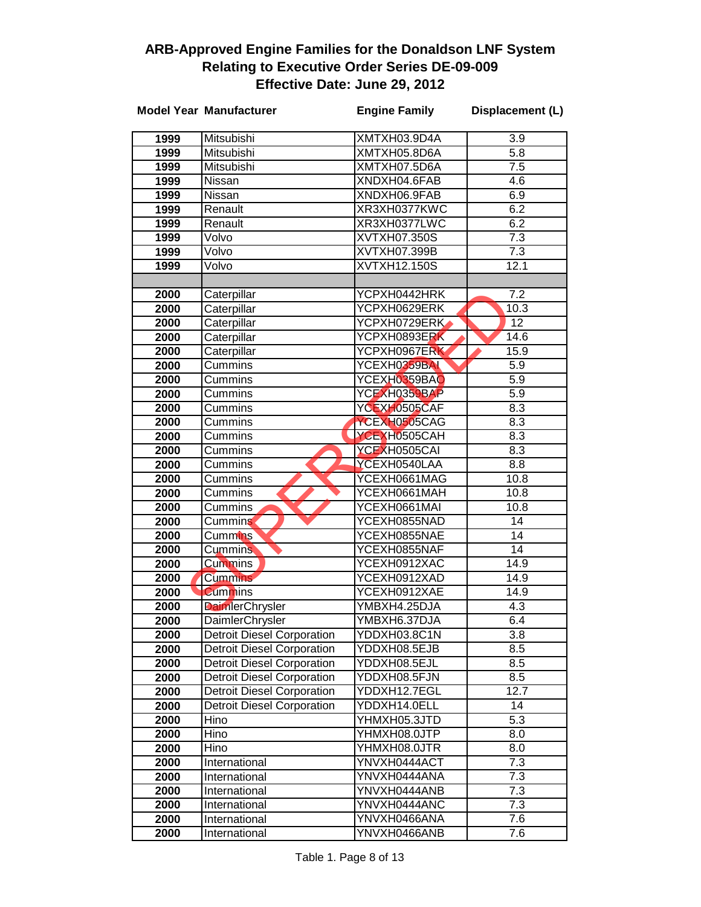|              | <b>Model Year Manufacturer</b>            | <b>Engine Family</b>         | Displacement (L)       |
|--------------|-------------------------------------------|------------------------------|------------------------|
| 1999         | Mitsubishi                                | XMTXH03.9D4A                 | 3.9                    |
| 1999         | Mitsubishi                                | XMTXH05.8D6A                 | $\overline{5.8}$       |
| 1999         | Mitsubishi                                | XMTXH07.5D6A                 | 7.5                    |
| 1999         | Nissan                                    | XNDXH04.6FAB                 | 4.6                    |
| 1999         | Nissan                                    | XNDXH06.9FAB                 | 6.9                    |
| 1999         | Renault                                   | XR3XH0377KWC                 | 6.2                    |
| 1999         | Renault                                   | XR3XH0377LWC                 | 6.2                    |
| 1999         | Volvo                                     | XVTXH07.350S                 | 7.3                    |
| 1999         | Volvo                                     | XVTXH07.399B                 | $\overline{7.3}$       |
| 1999         | Volvo                                     | XVTXH12.150S                 | 12.1                   |
|              |                                           |                              |                        |
| 2000         | Caterpillar                               | YCPXH0442HRK                 | 7.2                    |
| 2000         | Caterpillar                               | YCPXH0629ERK                 | 10.3                   |
| 2000         | Caterpillar                               | YCPXH0729ERK                 | $\overline{12}$        |
| 2000         | Caterpillar                               | YCPXH0893ERK                 | 14.6                   |
| 2000         | Caterpillar                               | YCPXH0967ERK                 | 15.9                   |
| 2000         | Cummins                                   | YCEXH0359BAL                 | 5.9                    |
| 2000         | Cummins                                   | YCEXH0359BAO                 | 5.9                    |
| 2000         | Cummins                                   | YCEXH0359BAP                 | 5.9                    |
| 2000         | Cummins                                   | YCEXH0505CAF                 | 8.3                    |
| 2000         | Cummins                                   | YCEXH0505CAG                 | 8.3                    |
| 2000         | Cummins                                   | YCEXH0505CAH                 | 8.3                    |
| 2000         | Cummins                                   | YCEXH0505CAI                 | 8.3                    |
| 2000         | Cummins                                   | YCEXH0540LAA                 | 8.8                    |
| 2000         | Cummins                                   | YCEXH0661MAG                 | 10.8                   |
| 2000         | Cummins                                   | YCEXH0661MAH                 | 10.8                   |
| 2000         | Cummins                                   | YCEXH0661MAI                 | 10.8                   |
| 2000         | Cummins                                   | YCEXH0855NAD                 | 14                     |
| 2000         | Cummins <sup>®</sup>                      | YCEXH0855NAE                 | 14                     |
| 2000         | <b>Cummins</b>                            | YCEXH0855NAF                 | 14                     |
| 2000         | <b>Cummins</b>                            | YCEXH0912XAC                 | 14.9                   |
| 2000         | <b>Cummins</b>                            | YCEXH0912XAD                 | 14.9                   |
| 2000         | <b>Cummins</b>                            | YCEXH0912XAE                 | 14.9                   |
| 2000         | <b>DaimlerChrysler</b>                    | YMBXH4.25DJA                 | 4.3                    |
| 2000         | DaimlerChrysler                           | YMBXH6.37DJA                 | 6.4                    |
| 2000         | <b>Detroit Diesel Corporation</b>         | YDDXH03.8C1N                 | 3.8                    |
| 2000         | <b>Detroit Diesel Corporation</b>         | YDDXH08.5EJB                 | 8.5                    |
| 2000         | <b>Detroit Diesel Corporation</b>         | YDDXH08.5EJL                 | 8.5                    |
| 2000         | <b>Detroit Diesel Corporation</b>         | YDDXH08.5FJN                 | 8.5                    |
| 2000         | <b>Detroit Diesel Corporation</b>         | YDDXH12.7EGL<br>YDDXH14.0ELL | 12.7                   |
| 2000         | <b>Detroit Diesel Corporation</b><br>Hino | YHMXH05.3JTD                 | 14<br>$\overline{5.3}$ |
| 2000         |                                           | YHMXH08.0JTP                 |                        |
| 2000<br>2000 | Hino<br>Hino                              | YHMXH08.0JTR                 | 8.0<br>8.0             |
| 2000         | International                             | YNVXH0444ACT                 | 7.3                    |
| 2000         | International                             | YNVXH0444ANA                 | 7.3                    |
| 2000         | International                             | YNVXH0444ANB                 | 7.3                    |
| 2000         | International                             | YNVXH0444ANC                 | 7.3                    |
| 2000         | International                             | YNVXH0466ANA                 | 7.6                    |
| 2000         | International                             | YNVXH0466ANB                 | 7.6                    |
|              |                                           |                              |                        |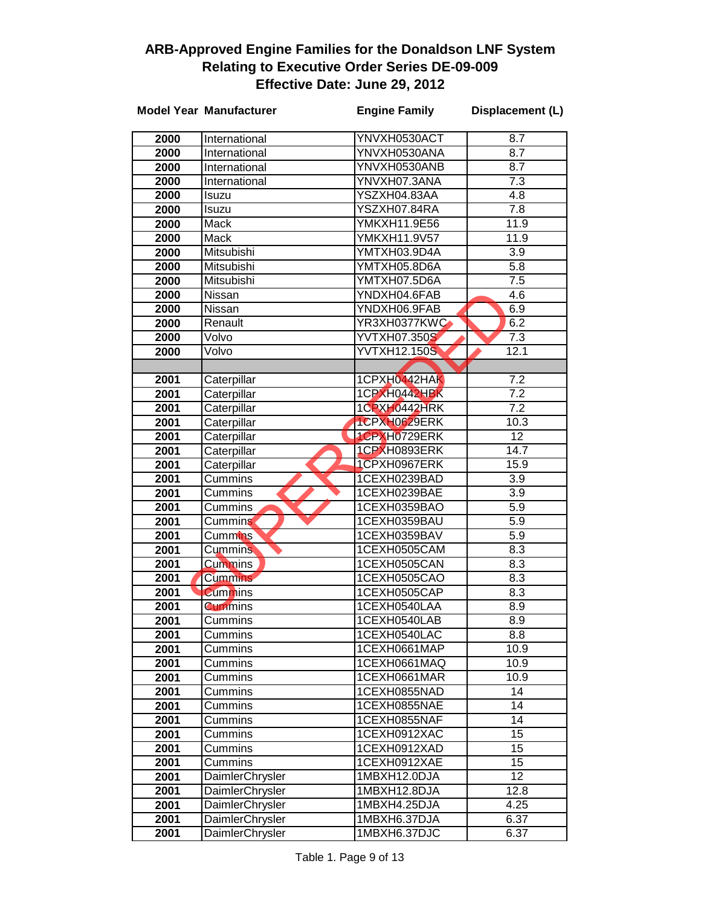|              | <b>Model Year Manufacturer</b> | <b>Engine Family</b>         | Displacement (L)        |
|--------------|--------------------------------|------------------------------|-------------------------|
|              |                                |                              |                         |
| 2000         | International                  | YNVXH0530ACT                 | 8.7<br>$\overline{8.7}$ |
| 2000         | International                  | YNVXH0530ANA                 |                         |
| 2000         | International                  | YNVXH0530ANB                 | 8.7                     |
| 2000         | International                  | YNVXH07.3ANA                 | 7.3                     |
| 2000         | Isuzu                          | YSZXH04.83AA                 | 4.8                     |
| 2000         | Isuzu<br>Mack                  | YSZXH07.84RA<br>YMKXH11.9E56 | 7.8                     |
| 2000         | Mack                           | <b>YMKXH11.9V57</b>          | 11.9<br>11.9            |
| 2000         |                                |                              | $\overline{3.9}$        |
| 2000         | Mitsubishi<br>Mitsubishi       | YMTXH03.9D4A<br>YMTXH05.8D6A | 5.8                     |
| 2000         | Mitsubishi                     | YMTXH07.5D6A                 | $\overline{7.5}$        |
| 2000         |                                | YNDXH04.6FAB                 | 4.6                     |
| 2000         | Nissan                         | YNDXH06.9FAB                 | 6.9                     |
| 2000         | Nissan<br>Renault              | YR3XH0377KWC                 | 6.2                     |
| 2000<br>2000 | Volvo                          | <b>YVTXH07.350S</b>          | 7.3                     |
| 2000         | Volvo                          | <b>YVTXH12.150S</b>          | 12.1                    |
|              |                                |                              |                         |
| 2001         | Caterpillar                    | 1CPXH0442HAK                 | 7.2                     |
| 2001         | Caterpillar                    | 1CPXH0442HBK                 | 7.2                     |
| 2001         | Caterpillar                    | 1CPXH0442HRK                 | $\overline{7.2}$        |
| 2001         | Caterpillar                    | 1CPXH0629ERK                 | 10.3                    |
| 2001         | Caterpillar                    | 1CPXH0729ERK                 | 12                      |
| 2001         | Caterpillar                    | 1CPXH0893ERK                 | 14.7                    |
| 2001         | Caterpillar                    | 1CPXH0967ERK                 | 15.9                    |
| 2001         | Cummins                        | 1CEXH0239BAD                 | $\overline{3.9}$        |
| 2001         | Cummins                        | 1CEXH0239BAE                 | 3.9                     |
| 2001         | Cummins                        | 1CEXH0359BAO                 | 5.9                     |
| 2001         | Cummins                        | 1CEXH0359BAU                 | 5.9                     |
| 2001         | Cummins <sup>1</sup>           | 1CEXH0359BAV                 | 5.9                     |
| 2001         | <b>Cummins</b>                 | 1CEXH0505CAM                 | 8.3                     |
| 2001         | <b>Cummins</b>                 | 1CEXH0505CAN                 | 8.3                     |
| 2001         | <b>Cummins</b>                 | 1CEXH0505CAO                 | 8.3                     |
| 2001         | <b>Cummins</b>                 | 1CEXH0505CAP                 | 8.3                     |
| 2001         | <b>Cummins</b>                 | 1CEXH0540LAA                 | 8.9                     |
| 2001         | Cummins                        | 1CEXH0540LAB                 | 8.9                     |
| 2001         | Cummins                        | 1CEXH0540LAC                 | 8.8                     |
| 2001         | Cummins                        | 1CEXH0661MAP                 | 10.9                    |
| 2001         | Cummins                        | 1CEXH0661MAQ                 | 10.9                    |
| 2001         | Cummins                        | 1CEXH0661MAR                 | 10.9                    |
| 2001         | Cummins                        | 1CEXH0855NAD                 | 14                      |
| 2001         | Cummins                        | 1CEXH0855NAE                 | 14                      |
| 2001         | Cummins                        | 1CEXH0855NAF                 | 14                      |
| 2001         | Cummins                        | 1CEXH0912XAC                 | 15                      |
| 2001         | Cummins                        | 1CEXH0912XAD                 | 15                      |
| 2001         | Cummins                        | 1CEXH0912XAE                 | 15                      |
| 2001         | DaimlerChrysler                | 1MBXH12.0DJA                 | 12                      |
| 2001         | <b>DaimlerChrysler</b>         | 1MBXH12.8DJA                 | 12.8                    |
| 2001         | DaimlerChrysler                | 1MBXH4.25DJA                 | 4.25                    |
| 2001         | DaimlerChrysler                | 1MBXH6.37DJA                 | 6.37                    |
| 2001         | DaimlerChrysler                | 1MBXH6.37DJC                 | 6.37                    |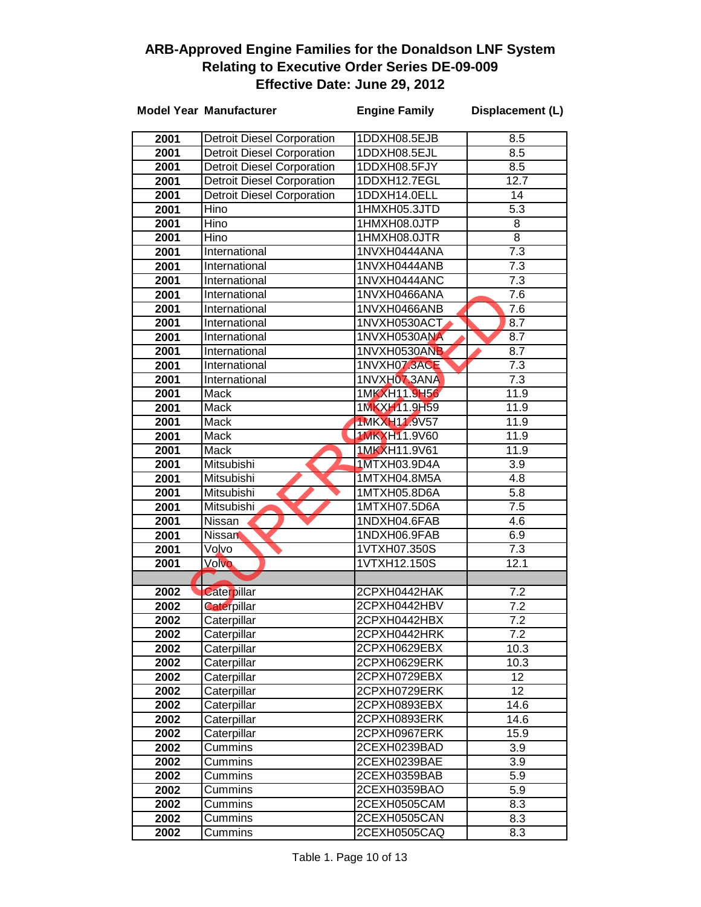|      | <b>Model Year Manufacturer</b>    | <b>Engine Family</b> | Displacement (L)  |
|------|-----------------------------------|----------------------|-------------------|
| 2001 | <b>Detroit Diesel Corporation</b> | 1DDXH08.5EJB         | 8.5               |
| 2001 | <b>Detroit Diesel Corporation</b> | 1DDXH08.5EJL         | 8.5               |
| 2001 | <b>Detroit Diesel Corporation</b> | 1DDXH08.5FJY         | $\overline{8.5}$  |
| 2001 | <b>Detroit Diesel Corporation</b> | 1DDXH12.7EGL         | 12.7              |
| 2001 | <b>Detroit Diesel Corporation</b> | 1DDXH14.0ELL         | 14                |
| 2001 | Hino                              | 1HMXH05.3JTD         | $\overline{5.3}$  |
| 2001 | Hino                              | 1HMXH08.0JTP         | 8                 |
| 2001 | Hino                              | 1HMXH08.0JTR         | $\overline{8}$    |
| 2001 | International                     | 1NVXH0444ANA         | 7.3               |
| 2001 | International                     | 1NVXH0444ANB         | $\overline{7.3}$  |
| 2001 | International                     | 1NVXH0444ANC         | $\overline{7.3}$  |
| 2001 | International                     | 1NVXH0466ANA         | $\overline{7.6}$  |
| 2001 | International                     | 1NVXH0466ANB         | $\overline{7.6}$  |
| 2001 | International                     | 1NVXH0530ACT         | 8.7               |
| 2001 | International                     | 1NVXH0530ANA         | 8.7               |
| 2001 | International                     | 1NVXH0530ANB         | 8.7               |
| 2001 | International                     | 1NVXH07.3ACE         | 7.3               |
| 2001 | International                     | 1NVXH07.3ANA         | 7.3               |
| 2001 | Mack                              | 1MKXH11.9H56         | 11.9              |
| 2001 | Mack                              | 1MKXH11.9H59         | 11.9              |
| 2001 | Mack                              | <b>1MKXH11.9V57</b>  | 11.9              |
| 2001 | Mack                              | <b>1MKXH11.9V60</b>  | 11.9              |
| 2001 | <b>Mack</b>                       | 1MKXH11.9V61         | 11.9              |
| 2001 | Mitsubishi                        | 1MTXH03.9D4A         | $\overline{3.9}$  |
| 2001 | Mitsubishi                        | 1MTXH04.8M5A         | 4.8               |
| 2001 | Mitsubishi                        | 1MTXH05.8D6A         | 5.8               |
| 2001 | Mitsubishi                        | 1MTXH07.5D6A         | $\overline{7.5}$  |
| 2001 | Nissan                            | 1NDXH04.6FAB         | 4.6               |
| 2001 | <b>Nissan</b>                     | 1NDXH06.9FAB         | 6.9               |
| 2001 | Volvo                             | 1VTXH07.350S         | 7.3               |
| 2001 | Volvo                             | 1VTXH12.150S         | $\overline{12.1}$ |
|      |                                   |                      |                   |
| 2002 | Caterpillar                       | 2CPXH0442HAK         | 7.2               |
| 2002 | <b>Caterpillar</b>                | 2CPXH0442HBV         | $\overline{7.2}$  |
| 2002 | Caterpillar                       | 2CPXH0442HBX         | $\overline{7.2}$  |
| 2002 | Caterpillar                       | 2CPXH0442HRK         | 7.2               |
| 2002 | Caterpillar                       | 2CPXH0629EBX         | 10.3              |
| 2002 | Caterpillar                       | 2CPXH0629ERK         | 10.3              |
| 2002 | Caterpillar                       | 2CPXH0729EBX         | 12 <sup>2</sup>   |
| 2002 | Caterpillar                       | 2CPXH0729ERK         | 12                |
| 2002 | Caterpillar                       | 2CPXH0893EBX         | 14.6              |
| 2002 | Caterpillar                       | 2CPXH0893ERK         | 14.6              |
| 2002 | Caterpillar                       | 2CPXH0967ERK         | 15.9              |
| 2002 | Cummins                           | 2CEXH0239BAD         | 3.9               |
| 2002 | Cummins                           | 2CEXH0239BAE         | 3.9               |
| 2002 | Cummins                           | 2CEXH0359BAB         | 5.9               |
| 2002 | Cummins                           | 2CEXH0359BAO         | 5.9               |
| 2002 | Cummins                           | 2CEXH0505CAM         | 8.3               |
| 2002 | Cummins                           | 2CEXH0505CAN         | 8.3               |
| 2002 | Cummins                           | 2CEXH0505CAQ         | 8.3               |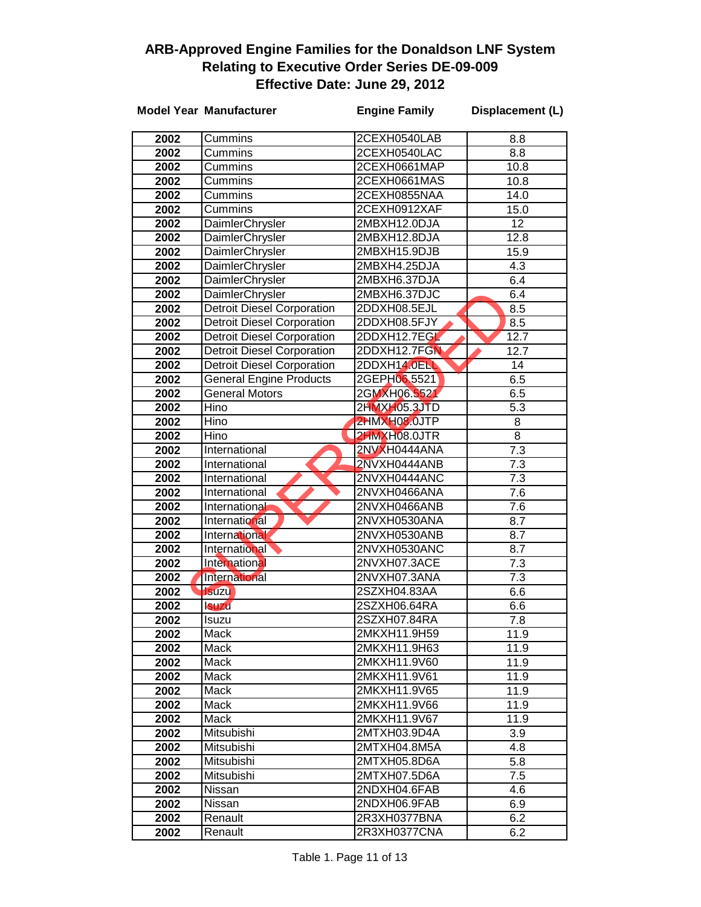|      | <b>Model Year Manufacturer</b>    | <b>Engine Family</b> | Displacement (L) |
|------|-----------------------------------|----------------------|------------------|
| 2002 | Cummins                           | 2CEXH0540LAB         | 8.8              |
| 2002 | Cummins                           | 2CEXH0540LAC         | 8.8              |
| 2002 | Cummins                           | 2CEXH0661MAP         | 10.8             |
| 2002 | Cummins                           | 2CEXH0661MAS         | 10.8             |
| 2002 | Cummins                           | 2CEXH0855NAA         | 14.0             |
| 2002 | Cummins                           | 2CEXH0912XAF         | 15.0             |
| 2002 | <b>DaimlerChrysler</b>            | 2MBXH12.0DJA         | 12               |
| 2002 | DaimlerChrysler                   | 2MBXH12.8DJA         | 12.8             |
| 2002 | DaimlerChrysler                   | 2MBXH15.9DJB         | 15.9             |
| 2002 | DaimlerChrysler                   | 2MBXH4.25DJA         | 4.3              |
| 2002 | <b>DaimlerChrysler</b>            | 2MBXH6.37DJA         | 6.4              |
| 2002 | DaimlerChrysler                   | 2MBXH6.37DJC         | 6.4              |
| 2002 | <b>Detroit Diesel Corporation</b> | 2DDXH08.5EJL         | 8.5              |
| 2002 | <b>Detroit Diesel Corporation</b> | 2DDXH08.5FJY         | 8.5              |
| 2002 | <b>Detroit Diesel Corporation</b> | 2DDXH12.7EGL         | 12.7             |
| 2002 | <b>Detroit Diesel Corporation</b> | 2DDXH12.7FGN         | 12.7             |
| 2002 | <b>Detroit Diesel Corporation</b> | 2DDXH14.0ELL         | 14               |
| 2002 | <b>General Engine Products</b>    | 2GEPH06.5521         | 6.5              |
| 2002 | <b>General Motors</b>             | 2GMXH06.5521         | 6.5              |
| 2002 | Hino                              | 2HMXH05.3JTD         | 5.3              |
| 2002 | Hino                              | 2HMXH08.0JTP         | 8                |
| 2002 | Hino                              | 2HMXH08.0JTR         | 8                |
| 2002 | International                     | 2NVXH0444ANA         | $\overline{7.3}$ |
| 2002 | International                     | 2NVXH0444ANB         | 7.3              |
| 2002 | International                     | 2NVXH0444ANC         | 7.3              |
| 2002 | International                     | 2NVXH0466ANA         | 7.6              |
| 2002 | International                     | 2NVXH0466ANB         | 7.6              |
| 2002 | International                     | 2NVXH0530ANA         | 8.7              |
| 2002 | International                     | 2NVXH0530ANB         | 8.7              |
| 2002 | International                     | 2NVXH0530ANC         | 8.7              |
| 2002 | International                     | 2NVXH07.3ACE         | $\overline{7.3}$ |
| 2002 | <b>International</b>              | 2NVXH07.3ANA         | 7.3              |
| 2002 | <b>Isuzu</b>                      | 2SZXH04.83AA         | 6.6              |
| 2002 | <b>Isuzu</b>                      | 2SZXH06.64RA         | 6.6              |
| 2002 | <b>Isuzu</b>                      | 2SZXH07.84RA         | 7.8              |
| 2002 | Mack                              | 2MKXH11.9H59         | 11.9             |
| 2002 | Mack                              | 2MKXH11.9H63         | 11.9             |
| 2002 | Mack                              | 2MKXH11.9V60         | 11.9             |
| 2002 | Mack                              | 2MKXH11.9V61         | 11.9             |
| 2002 | Mack                              | 2MKXH11.9V65         | 11.9             |
| 2002 | Mack                              | 2MKXH11.9V66         | 11.9             |
| 2002 | Mack                              | 2MKXH11.9V67         | 11.9             |
| 2002 | Mitsubishi                        | 2MTXH03.9D4A         | 3.9              |
| 2002 | Mitsubishi                        | 2MTXH04.8M5A         | 4.8              |
| 2002 | Mitsubishi                        | 2MTXH05.8D6A         | 5.8              |
| 2002 | Mitsubishi                        | 2MTXH07.5D6A         | 7.5              |
| 2002 | Nissan                            | 2NDXH04.6FAB         | 4.6              |
| 2002 | Nissan                            | 2NDXH06.9FAB         | 6.9              |
| 2002 | Renault                           | 2R3XH0377BNA         | 6.2              |
| 2002 | Renault                           | 2R3XH0377CNA         | 6.2              |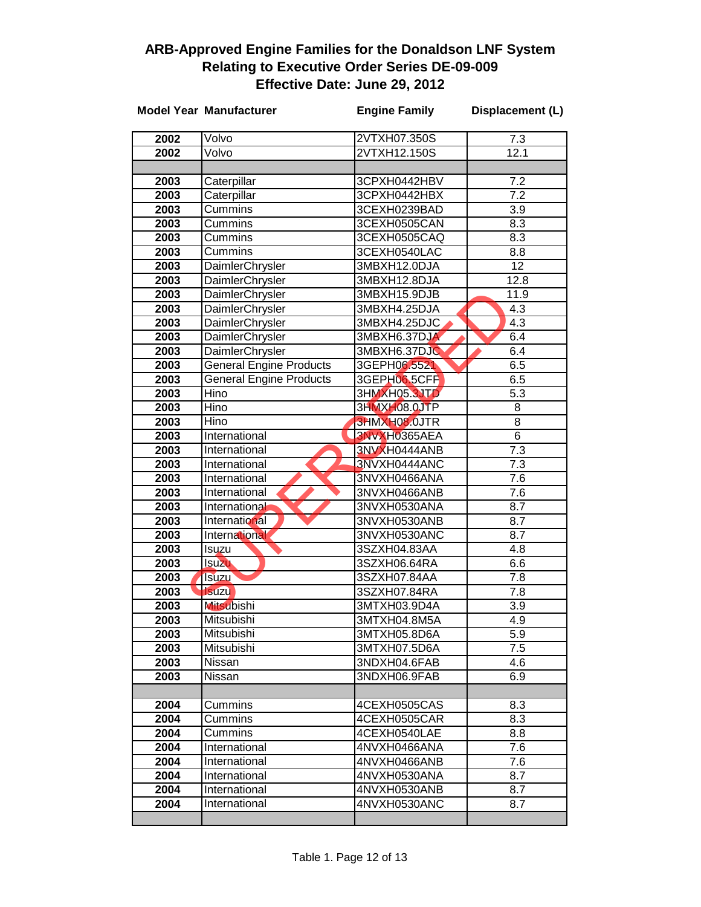|              | <b>Model Year Manufacturer</b> | <b>Engine Family</b>         | Displacement (L) |
|--------------|--------------------------------|------------------------------|------------------|
| 2002         | Volvo                          | 2VTXH07.350S                 | 7.3              |
| 2002         | Volvo                          | 2VTXH12.150S                 | 12.1             |
|              |                                |                              |                  |
| 2003         | Caterpillar                    | 3CPXH0442HBV                 | 7.2              |
| 2003         | Caterpillar                    | 3CPXH0442HBX                 | 7.2              |
| 2003         | Cummins                        | 3CEXH0239BAD                 | $\overline{3.9}$ |
| 2003         | Cummins                        | 3CEXH0505CAN                 | 8.3              |
| 2003         | Cummins                        | 3CEXH0505CAQ                 | 8.3              |
| 2003         | Cummins                        | 3CEXH0540LAC                 | 8.8              |
| 2003         | DaimlerChrysler                | 3MBXH12.0DJA                 | 12               |
| 2003         | DaimlerChrysler                | 3MBXH12.8DJA                 | 12.8             |
| 2003         | DaimlerChrysler                | 3MBXH15.9DJB                 | 11.9             |
| 2003         | DaimlerChrysler                | 3MBXH4.25DJA                 | 4.3              |
| 2003         | DaimlerChrysler                | 3MBXH4.25DJC                 | 4.3              |
| 2003         | DaimlerChrysler                | 3MBXH6.37DJA                 | 6.4              |
| 2003         | <b>DaimlerChrysler</b>         | 3MBXH6.37DJC                 | 6.4              |
| 2003         | <b>General Engine Products</b> | 3GEPH06.5521                 | 6.5              |
| 2003         | <b>General Engine Products</b> | 3GEPH06.5CFF                 | 6.5              |
| 2003         | Hino                           | 3HMXH05.3JTD                 | 5.3              |
| 2003         | Hino                           | 3HMXH08.0JTP                 | 8                |
| 2003         | Hino                           | 3HMXH08.0JTR                 | 8                |
| 2003         | International                  | 3NVXH0365AEA                 | $\overline{6}$   |
| 2003         | International                  | 3NVXH0444ANB                 | 7.3              |
| 2003         | International                  | 3NVXH0444ANC                 | 7.3              |
| 2003         | International                  | 3NVXH0466ANA                 | 7.6              |
| 2003         | International                  | 3NVXH0466ANB                 | 7.6              |
| 2003         | International                  | 3NVXH0530ANA                 | 8.7              |
| 2003         | International                  | 3NVXH0530ANB                 | 8.7              |
| 2003         | International                  | 3NVXH0530ANC                 | 8.7              |
| 2003         | Isuzu                          | 3SZXH04.83AA                 | 4.8              |
| 2003         | <b>Isuzu</b>                   | 3SZXH06.64RA                 | 6.6              |
| 2003         | <b>Isuzu</b>                   | 3SZXH07.84AA                 | 7.8              |
| 2003         | <b>Isuzu</b>                   | 3SZXH07.84RA                 | 7.8              |
| 2003         | <b>Mitsubishi</b>              | 3MTXH03.9D4A                 | 3.9              |
| 2003         | Mitsubishi                     | 3MTXH04.8M5A                 | 4.9              |
| 2003         | Mitsubishi                     | 3MTXH05.8D6A                 | 5.9              |
| 2003         | Mitsubishi                     | 3MTXH07.5D6A                 | 7.5              |
| 2003         | Nissan                         | 3NDXH04.6FAB                 | 4.6              |
| 2003         | Nissan                         | 3NDXH06.9FAB                 | 6.9              |
|              |                                |                              |                  |
| 2004         | Cummins                        | 4CEXH0505CAS                 | 8.3              |
| 2004         | Cummins<br>Cummins             | 4CEXH0505CAR                 | 8.3              |
| 2004         | International                  | 4CEXH0540LAE                 | 8.8              |
| 2004         |                                | 4NVXH0466ANA                 | 7.6              |
| 2004<br>2004 | International<br>International | 4NVXH0466ANB<br>4NVXH0530ANA | 7.6<br>8.7       |
| 2004         | International                  | 4NVXH0530ANB                 | 8.7              |
| 2004         | International                  | 4NVXH0530ANC                 | 8.7              |
|              |                                |                              |                  |